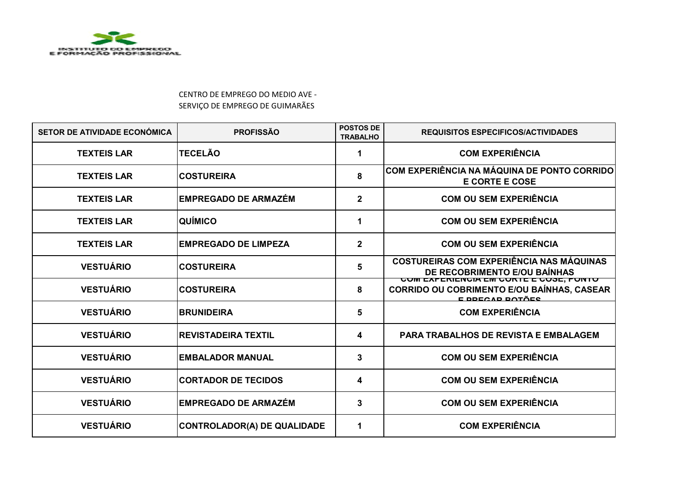

## CENTRO DE EMPREGO DO MEDIO AVE - SERVIÇO DE EMPREGO DE GUIMARÃES

| SETOR DE ATIVIDADE ECONÓMICA | <b>PROFISSÃO</b>                   | <b>POSTOS DE</b><br><b>TRABALHO</b> | <b>REQUISITOS ESPECIFICOS/ACTIVIDADES</b>                                                                             |
|------------------------------|------------------------------------|-------------------------------------|-----------------------------------------------------------------------------------------------------------------------|
| <b>TEXTEIS LAR</b>           | <b>TECELÃO</b>                     |                                     | <b>COM EXPERIÊNCIA</b>                                                                                                |
| <b>TEXTEIS LAR</b>           | <b>COSTUREIRA</b>                  | 8                                   | COM EXPERIÊNCIA NA MÁQUINA DE PONTO CORRIDO<br><b>E CORTE E COSE</b>                                                  |
| <b>TEXTEIS LAR</b>           | <b>EMPREGADO DE ARMAZEM</b>        | $\overline{2}$                      | <b>COM OU SEM EXPERIÊNCIA</b>                                                                                         |
| <b>TEXTEIS LAR</b>           | <b>QUÍMICO</b>                     | 1                                   | <b>COM OU SEM EXPERIÊNCIA</b>                                                                                         |
| <b>TEXTEIS LAR</b>           | <b>EMPREGADO DE LIMPEZA</b>        | $\overline{\mathbf{2}}$             | <b>COM OU SEM EXPERIÊNCIA</b>                                                                                         |
| <b>VESTUÁRIO</b>             | <b>COSTUREIRA</b>                  | 5                                   | <b>COSTUREIRAS COM EXPERIÊNCIA NAS MÁQUINAS</b><br>DE RECOBRIMENTO E/OU BAÍNHAS                                       |
| <b>VESTUÁRIO</b>             | <b>COSTUREIRA</b>                  | 8                                   | <u>UUM EXPERIENUIA EM UURTE E UUJE, PUNTU</u><br>CORRIDO OU COBRIMENTO E/OU BAÍNHAS, CASEAR<br><u>E DDECAD DATÃES</u> |
| <b>VESTUÁRIO</b>             | <b>BRUNIDEIRA</b>                  | 5                                   | <b>COM EXPERIÊNCIA</b>                                                                                                |
| <b>VESTUÁRIO</b>             | <b>REVISTADEIRA TEXTIL</b>         | 4                                   | <b>PARA TRABALHOS DE REVISTA E EMBALAGEM</b>                                                                          |
| <b>VESTUÁRIO</b>             | <b>EMBALADOR MANUAL</b>            | 3                                   | <b>COM OU SEM EXPERIÊNCIA</b>                                                                                         |
| <b>VESTUÁRIO</b>             | <b>CORTADOR DE TECIDOS</b>         | 4                                   | <b>COM OU SEM EXPERIÊNCIA</b>                                                                                         |
| <b>VESTUÁRIO</b>             | <b>EMPREGADO DE ARMAZÉM</b>        | 3                                   | <b>COM OU SEM EXPERIÊNCIA</b>                                                                                         |
| <b>VESTUÁRIO</b>             | <b>CONTROLADOR(A) DE QUALIDADE</b> | 1                                   | <b>COM EXPERIÊNCIA</b>                                                                                                |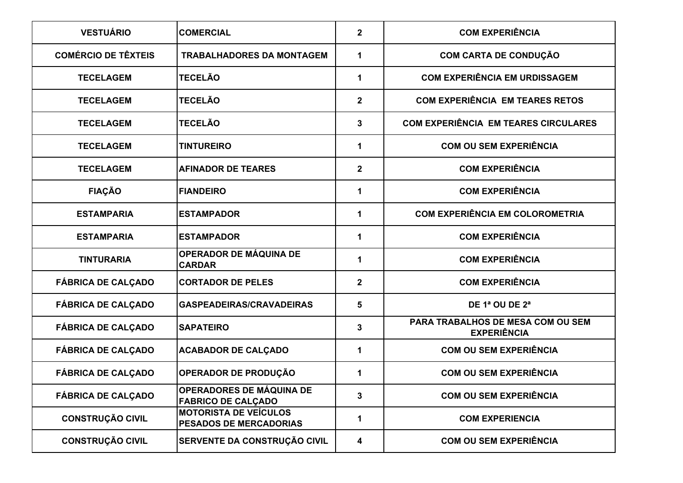| <b>VESTUÁRIO</b>           | <b>COMERCIAL</b>                                              | $\overline{\mathbf{2}}$ | <b>COM EXPERIÊNCIA</b>                                  |
|----------------------------|---------------------------------------------------------------|-------------------------|---------------------------------------------------------|
| <b>COMÉRCIO DE TÊXTEIS</b> | <b>TRABALHADORES DA MONTAGEM</b>                              | 1                       | <b>COM CARTA DE CONDUÇÃO</b>                            |
| <b>TECELAGEM</b>           | <b>TECELÃO</b>                                                | 1                       | <b>COM EXPERIÊNCIA EM URDISSAGEM</b>                    |
| <b>TECELAGEM</b>           | <b>TECELÃO</b>                                                | $\overline{\mathbf{2}}$ | <b>COM EXPERIÊNCIA EM TEARES RETOS</b>                  |
| <b>TECELAGEM</b>           | <b>TECELÃO</b>                                                | 3                       | <b>COM EXPERIÊNCIA EM TEARES CIRCULARES</b>             |
| <b>TECELAGEM</b>           | <b>TINTUREIRO</b>                                             | 1                       | <b>COM OU SEM EXPERIÊNCIA</b>                           |
| <b>TECELAGEM</b>           | <b>AFINADOR DE TEARES</b>                                     | $\overline{\mathbf{2}}$ | <b>COM EXPERIÊNCIA</b>                                  |
| <b>FIAÇÃO</b>              | <b>FIANDEIRO</b>                                              | 1                       | <b>COM EXPERIÊNCIA</b>                                  |
| <b>ESTAMPARIA</b>          | <b>ESTAMPADOR</b>                                             | 1                       | <b>COM EXPERIÊNCIA EM COLOROMETRIA</b>                  |
| <b>ESTAMPARIA</b>          | <b>ESTAMPADOR</b>                                             | 1                       | <b>COM EXPERIÊNCIA</b>                                  |
| <b>TINTURARIA</b>          | OPERADOR DE MÁQUINA DE<br><b>CARDAR</b>                       | 1                       | <b>COM EXPERIÊNCIA</b>                                  |
| <b>FÁBRICA DE CALÇADO</b>  | <b>CORTADOR DE PELES</b>                                      | $\overline{\mathbf{2}}$ | <b>COM EXPERIÊNCIA</b>                                  |
| <b>FÁBRICA DE CALÇADO</b>  | <b>GASPEADEIRAS/CRAVADEIRAS</b>                               | 5                       | DE 1ª OU DE 2ª                                          |
| <b>FÁBRICA DE CALÇADO</b>  | <b>SAPATEIRO</b>                                              | 3                       | PARA TRABALHOS DE MESA COM OU SEM<br><b>EXPERIÊNCIA</b> |
| <b>FÁBRICA DE CALÇADO</b>  | <b>ACABADOR DE CALÇADO</b>                                    | 1                       | <b>COM OU SEM EXPERIÊNCIA</b>                           |
| <b>FÁBRICA DE CALÇADO</b>  | OPERADOR DE PRODUÇÃO                                          | 1                       | <b>COM OU SEM EXPERIÊNCIA</b>                           |
| <b>FÁBRICA DE CALCADO</b>  | <b>OPERADORES DE MÁQUINA DE</b><br><b>FABRICO DE CALÇADO</b>  | 3                       | <b>COM OU SEM EXPERIÊNCIA</b>                           |
| <b>CONSTRUÇÃO CIVIL</b>    | <b>MOTORISTA DE VEÍCULOS</b><br><b>PESADOS DE MERCADORIAS</b> | 1                       | <b>COM EXPERIENCIA</b>                                  |
| <b>CONSTRUÇÃO CIVIL</b>    | SERVENTE DA CONSTRUÇÃO CIVIL                                  | 4                       | <b>COM OU SEM EXPERIÊNCIA</b>                           |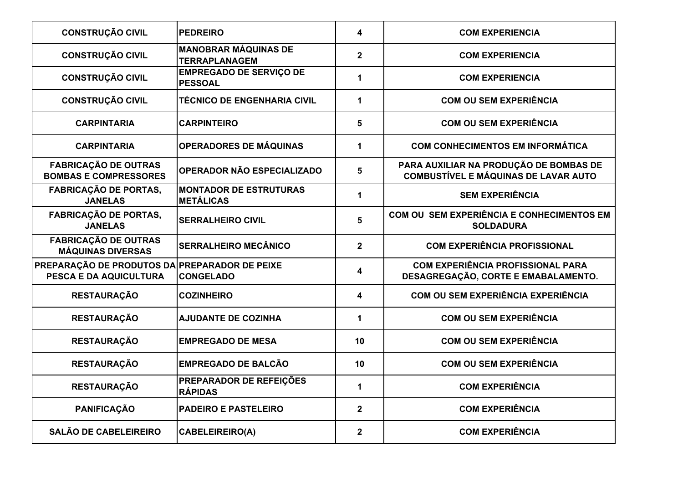| <b>CONSTRUÇÃO CIVIL</b>                                                        | <b>PEDREIRO</b>                                     | 4                       | <b>COM EXPERIENCIA</b>                                                                |
|--------------------------------------------------------------------------------|-----------------------------------------------------|-------------------------|---------------------------------------------------------------------------------------|
| <b>CONSTRUÇÃO CIVIL</b>                                                        | <b>MANOBRAR MÁQUINAS DE</b><br><b>TERRAPLANAGEM</b> | $\overline{\mathbf{2}}$ | <b>COM EXPERIENCIA</b>                                                                |
| <b>CONSTRUÇÃO CIVIL</b>                                                        | <b>EMPREGADO DE SERVIÇO DE</b><br><b>PESSOAL</b>    | $\mathbf{1}$            | <b>COM EXPERIENCIA</b>                                                                |
| <b>CONSTRUÇÃO CIVIL</b>                                                        | <b>TÉCNICO DE ENGENHARIA CIVIL</b>                  | $\mathbf{1}$            | <b>COM OU SEM EXPERIÊNCIA</b>                                                         |
| <b>CARPINTARIA</b>                                                             | <b>CARPINTEIRO</b>                                  | 5                       | <b>COM OU SEM EXPERIÊNCIA</b>                                                         |
| <b>CARPINTARIA</b>                                                             | <b>OPERADORES DE MÁQUINAS</b>                       | $\mathbf 1$             | <b>COM CONHECIMENTOS EM INFORMÁTICA</b>                                               |
| <b>FABRICAÇÃO DE OUTRAS</b><br><b>BOMBAS E COMPRESSORES</b>                    | OPERADOR NÃO ESPECIALIZADO                          | 5                       | PARA AUXILIAR NA PRODUÇÃO DE BOMBAS DE<br><b>COMBUSTÍVEL E MÁQUINAS DE LAVAR AUTO</b> |
| <b>FABRICAÇÃO DE PORTAS,</b><br><b>JANELAS</b>                                 | <b>MONTADOR DE ESTRUTURAS</b><br><b>METÁLICAS</b>   | $\mathbf 1$             | <b>SEM EXPERIÊNCIA</b>                                                                |
| <b>FABRICAÇÃO DE PORTAS,</b><br><b>JANELAS</b>                                 | <b>SERRALHEIRO CIVIL</b>                            | 5                       | COM OU SEM EXPERIÊNCIA E CONHECIMENTOS EM<br><b>SOLDADURA</b>                         |
| <b>FABRICAÇÃO DE OUTRAS</b><br><b>MÁQUINAS DIVERSAS</b>                        | <b>SERRALHEIRO MECÂNICO</b>                         | $\overline{2}$          | <b>COM EXPERIÊNCIA PROFISSIONAL</b>                                                   |
| PREPARAÇÃO DE PRODUTOS DA PREPARADOR DE PEIXE<br><b>PESCA E DA AQUICULTURA</b> | <b>CONGELADO</b>                                    | 4                       | <b>COM EXPERIÊNCIA PROFISSIONAL PARA</b><br>DESAGREGAÇÃO, CORTE E EMABALAMENTO.       |
| <b>RESTAURAÇÃO</b>                                                             | <b>COZINHEIRO</b>                                   | $\overline{\mathbf{4}}$ | <b>COM OU SEM EXPERIÊNCIA EXPERIÊNCIA</b>                                             |
| <b>RESTAURAÇÃO</b>                                                             | <b>AJUDANTE DE COZINHA</b>                          | $\mathbf 1$             | <b>COM OU SEM EXPERIÊNCIA</b>                                                         |
| <b>RESTAURAÇÃO</b>                                                             | <b>EMPREGADO DE MESA</b>                            | 10                      | <b>COM OU SEM EXPERIÊNCIA</b>                                                         |
| <b>RESTAURAÇÃO</b>                                                             | <b>EMPREGADO DE BALCÃO</b>                          | 10                      | <b>COM OU SEM EXPERIÊNCIA</b>                                                         |
| <b>RESTAURAÇÃO</b>                                                             | PREPARADOR DE REFEIÇÕES<br><b>RÁPIDAS</b>           | $\mathbf{1}$            | <b>COM EXPERIÊNCIA</b>                                                                |
| <b>PANIFICAÇÃO</b>                                                             | <b>PADEIRO E PASTELEIRO</b>                         | $\overline{2}$          | <b>COM EXPERIÊNCIA</b>                                                                |
| <b>SALÃO DE CABELEIREIRO</b>                                                   | <b>CABELEIREIRO(A)</b>                              | $\overline{2}$          | <b>COM EXPERIÊNCIA</b>                                                                |